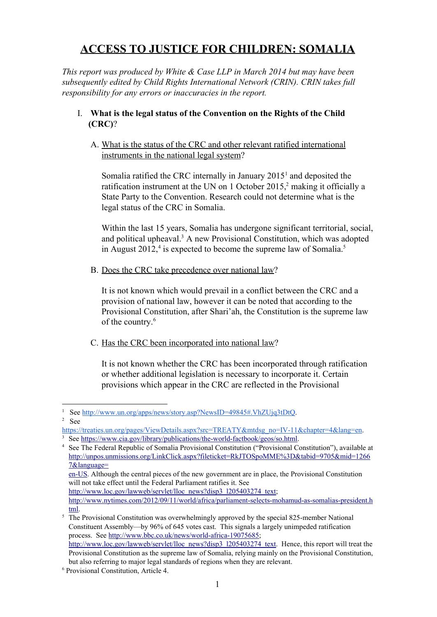# **ACCESS TO JUSTICE FOR CHILDREN: SOMALIA**

*This report was produced by White & Case LLP in March 2014 but may have been subsequently edited by Child Rights International Network (CRIN). CRIN takes full responsibility for any errors or inaccuracies in the report.*

## I. **What is the legal status of the Convention on the Rights of the Child (CRC)**?

A. What is the status of the CRC and other relevant ratified international instruments in the national legal system?

Somalia ratified the CRC internally in January  $2015<sup>1</sup>$  and deposited the ratification instrument at the UN on 1 October 2015, $2$  making it officially a State Party to the Convention. Research could not determine what is the legal status of the CRC in Somalia.

Within the last 15 years, Somalia has undergone significant territorial, social, and political upheaval.<sup>3</sup> A new Provisional Constitution, which was adopted in August  $2012<sup>4</sup>$  is expected to become the supreme law of Somalia.<sup>5</sup>

B. Does the CRC take precedence over national law?

It is not known which would prevail in a conflict between the CRC and a provision of national law, however it can be noted that according to the Provisional Constitution, after Shari'ah, the Constitution is the supreme law of the country. 6

C. Has the CRC been incorporated into national law?

It is not known whether the CRC has been incorporated through ratification or whether additional legislation is necessary to incorporate it. Certain provisions which appear in the CRC are reflected in the Provisional

[http://www.loc.gov/lawweb/servlet/lloc\\_news?disp3\\_l205403274\\_text;](http://www.loc.gov/lawweb/servlet/lloc_news?disp3_l205403274_text)

See <http://www.un.org/apps/news/story.asp?NewsID=49845#.VhZUjq3tDtQ>. <sup>2</sup> See

https://treaties.un.org/pages/ViewDetails.aspx?src=TREATY&mtdsg\_no=IV-11&chapter=4&lang=en.

 $3$  See https://www.cia.gov/library/publications/the-world-factbook/geos/so.html.

<sup>4</sup> See The Federal Republic of Somalia Provisional Constitution ("Provisional Constitution"), available at [http://unpos.unmissions.org/LinkClick.aspx?fileticket=RkJTOSpoMME%3D&tabid=9705&mid=1266](http://unpos.unmissions.org/LinkClick.aspx?fileticket=RkJTOSpoMME%3D&tabid=9705&mid=12667&language=en-US) [7&language=](http://unpos.unmissions.org/LinkClick.aspx?fileticket=RkJTOSpoMME%3D&tabid=9705&mid=12667&language=en-US)

en-US. Although the central pieces of the new government are in place, the Provisional Constitution will not take effect until the Federal Parliament ratifies it. See

http://www.nytimes.com/2012/09/11/world/africa/parliament-selects-mohamud-as-somalias-president.h [tml.](http://www.nytimes.com/2012/09/11/world/africa/parliament-selects-mohamud-as-somalias-president.html)

 $5$  The Provisional Constitution was overwhelmingly approved by the special 825-member National Constituent Assembly—by 96% of 645 votes cast. This signals a largely unimpeded ratification process. See http://www.bbc.co.uk/news/world-africa-19075685; [http://www.loc.gov/lawweb/servlet/lloc\\_news?disp3\\_l205403274\\_text.](http://www.loc.gov/lawweb/servlet/lloc_news?disp3_l205403274_text) Hence, this report will treat the Provisional Constitution as the supreme law of Somalia, relying mainly on the Provisional Constitution, but also referring to major legal standards of regions when they are relevant.

<sup>6</sup> Provisional Constitution, Article 4.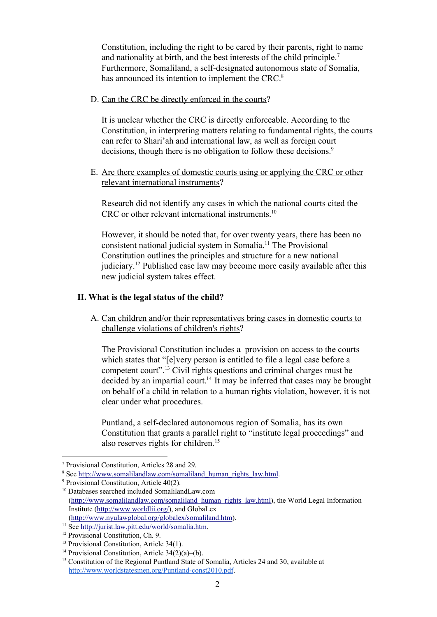Constitution, including the right to be cared by their parents, right to name and nationality at birth, and the best interests of the child principle. 7 Furthermore, Somaliland, a self-designated autonomous state of Somalia, has announced its intention to implement the CRC.<sup>8</sup>

D. Can the CRC be directly enforced in the courts?

It is unclear whether the CRC is directly enforceable. According to the Constitution, in interpreting matters relating to fundamental rights, the courts can refer to Shari'ah and international law, as well as foreign court decisions, though there is no obligation to follow these decisions.<sup>9</sup>

E. Are there examples of domestic courts using or applying the CRC or other relevant international instruments?

Research did not identify any cases in which the national courts cited the CRC or other relevant international instruments. 10

However, it should be noted that, for over twenty years, there has been no consistent national judicial system in Somalia.<sup>11</sup> The Provisional Constitution outlines the principles and structure for a new national judiciary.<sup>12</sup> Published case law may become more easily available after this new judicial system takes effect.

#### **II. What is the legal status of the child?**

A. Can children and/or their representatives bring cases in domestic courts to challenge violations of children's rights?

The Provisional Constitution includes a provision on access to the courts which states that "[e]very person is entitled to file a legal case before a competent court".<sup>13</sup> Civil rights questions and criminal charges must be decided by an impartial court.<sup>14</sup> It may be inferred that cases may be brought on behalf of a child in relation to a human rights violation, however, it is not clear under what procedures.

Puntland, a self-declared autonomous region of Somalia, has its own Constitution that grants a parallel right to "institute legal proceedings" and also reserves rights for children. 15

<sup>7</sup> Provisional Constitution, Articles 28 and 29.

<sup>&</sup>lt;sup>8</sup> See [http://www.somalilandlaw.com/somaliland\\_human\\_rights\\_law.html](http://www.somalilandlaw.com/somaliland_human_rights_law.html).

<sup>&</sup>lt;sup>9</sup> Provisional Constitution, Article 40(2).

<sup>10</sup> Databases searched included SomalilandLaw.com ([http://www.somalilandlaw.com/somaliland\\_human\\_rights\\_law.html\)](http://www.somalilandlaw.com/somaliland_human_rights_law.html), the World Legal Information Institute [\(http://www.worldlii.org/](http://www.worldlii.org/)), and GlobaLex

<sup>(</sup><http://www.nyulawglobal.org/globalex/somaliland.htm>).

<sup>&</sup>lt;sup>11</sup> See [http://jurist.law.pitt.edu/world/somalia.htm.](http://jurist.law.pitt.edu/world/somalia.htm)

<sup>&</sup>lt;sup>12</sup> Provisional Constitution, Ch. 9.

<sup>&</sup>lt;sup>13</sup> Provisional Constitution, Article 34(1).

<sup>&</sup>lt;sup>14</sup> Provisional Constitution, Article  $34(2)(a)$ –(b).

<sup>&</sup>lt;sup>15</sup> Constitution of the Regional Puntland State of Somalia, Articles 24 and 30, available at http://www.worldstatesmen.org/Puntland-const2010.pdf.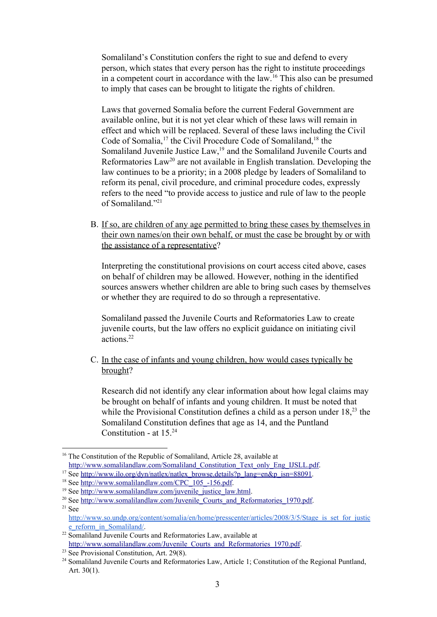Somaliland's Constitution confers the right to sue and defend to every person, which states that every person has the right to institute proceedings in a competent court in accordance with the  $law<sup>16</sup>$ . This also can be presumed to imply that cases can be brought to litigate the rights of children.

Laws that governed Somalia before the current Federal Government are available online, but it is not yet clear which of these laws will remain in effect and which will be replaced. Several of these laws including the Civil Code of Somalia,<sup>17</sup> the Civil Procedure Code of Somaliland,<sup>18</sup> the Somaliland Juvenile Justice  $Law<sub>1</sub><sup>19</sup>$  and the Somaliland Juvenile Courts and Reformatories  $Law^{20}$  are not available in English translation. Developing the law continues to be a priority; in a 2008 pledge by leaders of Somaliland to reform its penal, civil procedure, and criminal procedure codes, expressly refers to the need "to provide access to justice and rule of law to the people of Somaliland." 21

B. If so, are children of any age permitted to bring these cases by themselves in their own names/on their own behalf, or must the case be brought by or with the assistance of a representative?

Interpreting the constitutional provisions on court access cited above, cases on behalf of children may be allowed. However, nothing in the identified sources answers whether children are able to bring such cases by themselves or whether they are required to do so through a representative.

Somaliland passed the Juvenile Courts and Reformatories Law to create juvenile courts, but the law offers no explicit guidance on initiating civil actions. 22

C. In the case of infants and young children, how would cases typically be brought?

Research did not identify any clear information about how legal claims may be brought on behalf of infants and young children. It must be noted that while the Provisional Constitution defines a child as a person under  $18<sup>23</sup>$ , the Somaliland Constitution defines that age as 14, and the Puntland Constitution - at  $15.^{24}$ 

<sup>&</sup>lt;sup>16</sup> The Constitution of the Republic of Somaliland, Article 28, available at [http://www.somalilandlaw.com/Somaliland\\_Constitution\\_Text\\_only\\_Eng\\_IJSLL.pdf.](http://www.somalilandlaw.com/Somaliland_Constitution_Text_only_Eng_IJSLL.pdf)

<sup>&</sup>lt;sup>17</sup> See [http://www.ilo.org/dyn/natlex/natlex\\_browse.details?p\\_lang=en&p\\_isn=88091.](http://www.ilo.org/dyn/natlex/natlex_browse.details?p_lang=en&p_isn=88091)

<sup>&</sup>lt;sup>18</sup> See http://www.somalilandlaw.com/CPC<sup>105</sup>-156.pdf.

 $19$  See [http://www.somalilandlaw.com/juvenile\\_justice\\_law.html.](http://www.somalilandlaw.com/juvenile_justice_law.html)

<sup>&</sup>lt;sup>20</sup> See [http://www.somalilandlaw.com/Juvenile\\_Courts\\_and\\_Reformatories\\_1970.pdf.](http://www.somalilandlaw.com/Juvenile_Courts_and_Reformatories_1970.pdf)  $21$  See http://www.so.undp.org/content/somalia/en/home/presscenter/articles/2008/3/5/Stage is set for justic [e\\_reform\\_in\\_Somaliland/.](http://www.so.undp.org/content/somalia/en/home/presscenter/articles/2008/3/5/Stage_is_set_for_justice_reform_in_Somaliland/)

<sup>22</sup> Somaliland Juvenile Courts and Reformatories Law, available at [http://www.somalilandlaw.com/Juvenile\\_Courts\\_and\\_Reformatories\\_1970.pdf.](http://www.somalilandlaw.com/Juvenile_Courts_and_Reformatories_1970.pdf)

<sup>23</sup> See Provisional Constitution, Art. 29(8).

<sup>&</sup>lt;sup>24</sup> Somaliland Juvenile Courts and Reformatories Law, Article 1; Constitution of the Regional Puntland, Art. 30(1).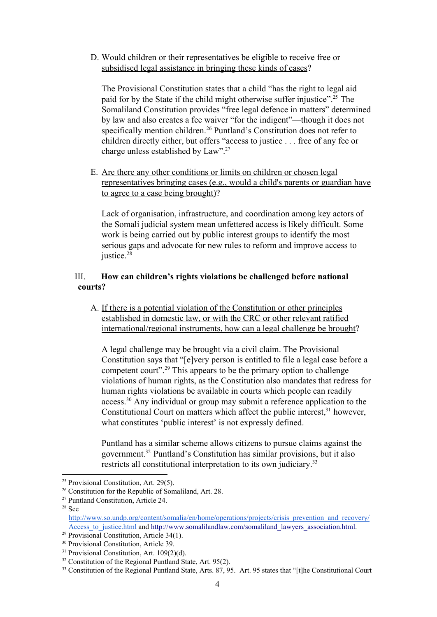## D. Would children or their representatives be eligible to receive free or subsidised legal assistance in bringing these kinds of cases?

The Provisional Constitution states that a child "has the right to legal aid paid for by the State if the child might otherwise suffer injustice".<sup>25</sup> The Somaliland Constitution provides "free legal defence in matters" determined by law and also creates a fee waiver "for the indigent"—though it does not specifically mention children.<sup>26</sup> Puntland's Constitution does not refer to children directly either, but offers "access to justice . . . free of any fee or charge unless established by Law".<sup>27</sup>

E. Are there any other conditions or limits on children or chosen legal representatives bringing cases (e.g., would a child's parents or guardian have to agree to a case being brought)?

Lack of organisation, infrastructure, and coordination among key actors of the Somali judicial system mean unfettered access is likely difficult. Some work is being carried out by public interest groups to identify the most serious gaps and advocate for new rules to reform and improve access to justice. 28

## III. **How can children's rights violations be challenged before national courts?**

A. If there is a potential violation of the Constitution or other principles established in domestic law, or with the CRC or other relevant ratified international/regional instruments, how can a legal challenge be brought?

A legal challenge may be brought via a civil claim. The Provisional Constitution says that "[e]very person is entitled to file a legal case before a competent court".<sup>29</sup> This appears to be the primary option to challenge violations of human rights, as the Constitution also mandates that redress for human rights violations be available in courts which people can readily  $access.^{30}$  Any individual or group may submit a reference application to the Constitutional Court on matters which affect the public interest, $31$  however, what constitutes 'public interest' is not expressly defined.

Puntland has a similar scheme allows citizens to pursue claims against the government.<sup>32</sup> Puntland's Constitution has similar provisions, but it also restricts all constitutional interpretation to its own judiciary.<sup>33</sup>

<sup>25</sup> Provisional Constitution, Art. 29(5).

<sup>26</sup> Constitution for the Republic of Somaliland, Art. 28.

<sup>27</sup> Puntland Constitution, Article 24.

<sup>28</sup> See

[http://www.so.undp.org/content/somalia/en/home/operations/projects/crisis\\_prevention\\_and\\_recovery/](http://www.so.undp.org/content/somalia/en/home/operations/projects/crisis_prevention_and_recovery/Access_to_justice.html) [Access\\_to\\_justice.html](http://www.so.undp.org/content/somalia/en/home/operations/projects/crisis_prevention_and_recovery/Access_to_justice.html) and [http://www.somalilandlaw.com/somaliland\\_lawyers\\_association.html.](http://www.somalilandlaw.com/somaliland_lawyers_association.html)

<sup>&</sup>lt;sup>29</sup> Provisional Constitution, Article 34(1).

<sup>30</sup> Provisional Constitution, Article 39.

<sup>&</sup>lt;sup>31</sup> Provisional Constitution, Art. 109(2)(d).

<sup>&</sup>lt;sup>32</sup> Constitution of the Regional Puntland State, Art. 95(2).

<sup>&</sup>lt;sup>33</sup> Constitution of the Regional Puntland State, Arts. 87, 95. Art. 95 states that "[t]he Constitutional Court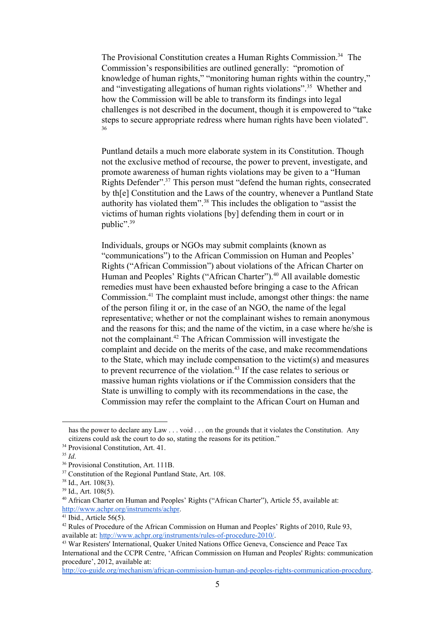The Provisional Constitution creates a Human Rights Commission.<sup>34</sup> The Commission's responsibilities are outlined generally: "promotion of knowledge of human rights," "monitoring human rights within the country," and "investigating allegations of human rights violations".<sup>35</sup> Whether and how the Commission will be able to transform its findings into legal challenges is not described in the document, though it is empowered to "take steps to secure appropriate redress where human rights have been violated". 36

Puntland details a much more elaborate system in its Constitution. Though not the exclusive method of recourse, the power to prevent, investigate, and promote awareness of human rights violations may be given to a "Human Rights Defender".<sup>37</sup> This person must "defend the human rights, consecrated by th[e] Constitution and the Laws of the country, whenever a Puntland State authority has violated them".<sup>38</sup> This includes the obligation to "assist the victims of human rights violations [by] defending them in court or in public". 39

Individuals, groups or NGOs may submit complaints (known as "communications") to the African Commission on Human and Peoples' Rights ("African Commission") about violations of the African Charter on Human and Peoples' Rights ("African Charter").<sup>40</sup> All available domestic remedies must have been exhausted before bringing a case to the African Commission.<sup>41</sup> The complaint must include, amongst other things: the name of the person filing it or, in the case of an NGO, the name of the legal representative; whether or not the complainant wishes to remain anonymous and the reasons for this; and the name of the victim, in a case where he/she is not the complainant.<sup>42</sup> The African Commission will investigate the complaint and decide on the merits of the case, and make recommendations to the State, which may include compensation to the victim(s) and measures to prevent recurrence of the violation.<sup>43</sup> If the case relates to serious or massive human rights violations or if the Commission considers that the State is unwilling to comply with its recommendations in the case, the Commission may refer the complaint to the African Court on Human and

has the power to declare any Law . . . yoid . . . on the grounds that it violates the Constitution. Any citizens could ask the court to do so, stating the reasons for its petition."

<sup>&</sup>lt;sup>34</sup> Provisional Constitution, Art. 41.

<sup>35</sup> *Id*.

<sup>36</sup> Provisional Constitution, Art. 111B.

<sup>&</sup>lt;sup>37</sup> Constitution of the Regional Puntland State, Art. 108.

 $38$  Id., Art. 108(3).

 $39$  Id., Art. 108(5).

<sup>40</sup> African Charter on Human and Peoples' Rights ("African Charter"), Article 55, available at: [http://www.achpr.org/instruments/achpr.](http://www.achpr.org/instruments/achpr)

 $41$  Ibid., Article 56(5).

<sup>&</sup>lt;sup>42</sup> Rules of Procedure of the African Commission on Human and Peoples' Rights of 2010, Rule 93, available at: http://www.achpr.org/instruments/rules-of-procedure-2010/.

<sup>43</sup> War Resisters' International, Quaker United Nations Office Geneva, Conscience and Peace Tax International and the CCPR Centre, 'African Commission on Human and Peoples' Rights: communication procedure', 2012, available at:

http://co-guide.org/mechanism/african-commission-human-and-peoples-rights-communication-procedure.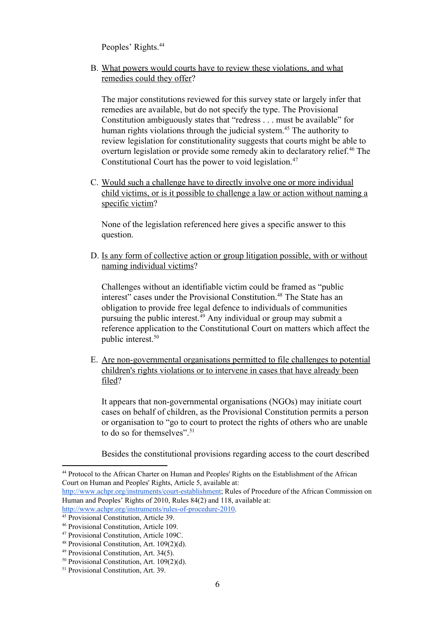Peoples' Rights. 44

B. What powers would courts have to review these violations, and what remedies could they offer?

The major constitutions reviewed for this survey state or largely infer that remedies are available, but do not specify the type. The Provisional Constitution ambiguously states that "redress . . . must be available" for human rights violations through the judicial system.<sup>45</sup> The authority to review legislation for constitutionality suggests that courts might be able to overturn legislation or provide some remedy akin to declaratory relief.<sup>46</sup> The Constitutional Court has the power to void legislation. 47

C. Would such a challenge have to directly involve one or more individual child victims, or is it possible to challenge a law or action without naming a specific victim?

None of the legislation referenced here gives a specific answer to this question.

D. Is any form of collective action or group litigation possible, with or without naming individual victims?

Challenges without an identifiable victim could be framed as "public interest" cases under the Provisional Constitution.<sup>48</sup> The State has an obligation to provide free legal defence to individuals of communities pursuing the public interest.<sup>49</sup> Any individual or group may submit a reference application to the Constitutional Court on matters which affect the public interest. 50

E. Are non-governmental organisations permitted to file challenges to potential children's rights violations or to intervene in cases that have already been filed?

It appears that non-governmental organisations (NGOs) may initiate court cases on behalf of children, as the Provisional Constitution permits a person or organisation to "go to court to protect the rights of others who are unable to do so for themselves". 51

Besides the constitutional provisions regarding access to the court described

http://www.achpr.org/instruments/court-establishment; Rules of Procedure of the African Commission on Human and Peoples' Rights of 2010, Rules 84(2) and 118, available at: http://www.achpr.org/instruments/rules-of-procedure-2010.

<sup>44</sup> Protocol to the African Charter on Human and Peoples' Rights on the Establishment of the African Court on Human and Peoples' Rights, Article 5, available at:

<sup>45</sup> Provisional Constitution, Article 39.

<sup>46</sup> Provisional Constitution, Article 109.

<sup>47</sup> Provisional Constitution, Article 109C.

<sup>48</sup> Provisional Constitution, Art. 109(2)(d).

<sup>49</sup> Provisional Constitution, Art. 34(5).

<sup>50</sup> Provisional Constitution, Art. 109(2)(d).

<sup>51</sup> Provisional Constitution, Art. 39.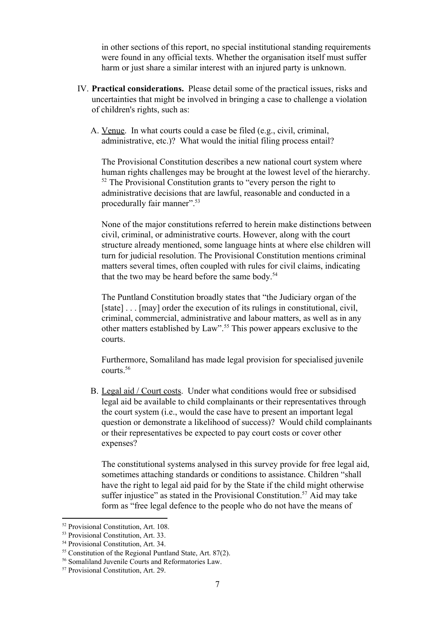in other sections of this report, no special institutional standing requirements were found in any official texts. Whether the organisation itself must suffer harm or just share a similar interest with an injured party is unknown.

- IV. **Practical considerations.** Please detail some of the practical issues, risks and uncertainties that might be involved in bringing a case to challenge a violation of children's rights, such as:
	- A. Venue. In what courts could a case be filed (e.g., civil, criminal, administrative, etc.)? What would the initial filing process entail?

The Provisional Constitution describes a new national court system where human rights challenges may be brought at the lowest level of the hierarchy.  $52$  The Provisional Constitution grants to "every person the right to administrative decisions that are lawful, reasonable and conducted in a procedurally fair manner".<sup>53</sup>

None of the major constitutions referred to herein make distinctions between civil, criminal, or administrative courts. However, along with the court structure already mentioned, some language hints at where else children will turn for judicial resolution. The Provisional Constitution mentions criminal matters several times, often coupled with rules for civil claims, indicating that the two may be heard before the same body. 54

The Puntland Constitution broadly states that "the Judiciary organ of the [state] . . . [may] order the execution of its rulings in constitutional, civil, criminal, commercial, administrative and labour matters, as well as in any other matters established by Law".<sup>55</sup> This power appears exclusive to the courts.

Furthermore, Somaliland has made legal provision for specialised juvenile courts. 56

B. Legal aid / Court costs. Under what conditions would free or subsidised legal aid be available to child complainants or their representatives through the court system (i.e., would the case have to present an important legal question or demonstrate a likelihood of success)? Would child complainants or their representatives be expected to pay court costs or cover other expenses?

The constitutional systems analysed in this survey provide for free legal aid, sometimes attaching standards or conditions to assistance. Children "shall have the right to legal aid paid for by the State if the child might otherwise suffer injustice" as stated in the Provisional Constitution.<sup>57</sup> Aid may take form as "free legal defence to the people who do not have the means of

<sup>52</sup> Provisional Constitution, Art. 108.

<sup>53</sup> Provisional Constitution, Art. 33.

<sup>54</sup> Provisional Constitution, Art. 34.

<sup>55</sup> Constitution of the Regional Puntland State, Art. 87(2).

<sup>56</sup> Somaliland Juvenile Courts and Reformatories Law.

<sup>57</sup> Provisional Constitution, Art. 29.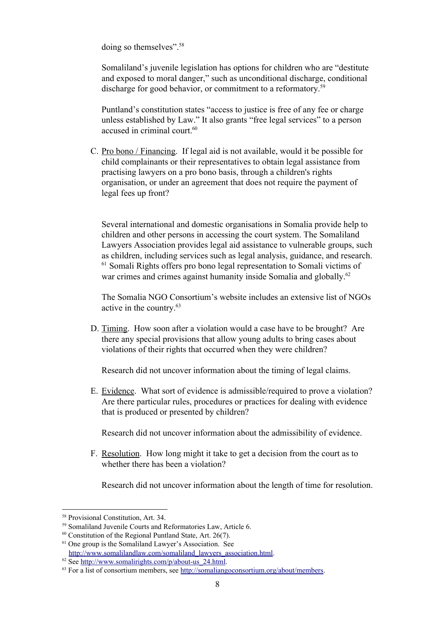doing so themselves". 58

Somaliland's juvenile legislation has options for children who are "destitute and exposed to moral danger," such as unconditional discharge, conditional discharge for good behavior, or commitment to a reformatory.<sup>59</sup>

Puntland's constitution states "access to justice is free of any fee or charge unless established by Law." It also grants "free legal services" to a person accused in criminal court. 60

C. Pro bono / Financing. If legal aid is not available, would it be possible for child complainants or their representatives to obtain legal assistance from practising lawyers on a pro bono basis, through a children's rights organisation, or under an agreement that does not require the payment of legal fees up front?

Several international and domestic organisations in Somalia provide help to children and other persons in accessing the court system. The Somaliland Lawyers Association provides legal aid assistance to vulnerable groups, such as children, including services such as legal analysis, guidance, and research. <sup>61</sup> Somali Rights offers pro bono legal representation to Somali victims of war crimes and crimes against humanity inside Somalia and globally.<sup>62</sup>

The Somalia NGO Consortium's website includes an extensive list of NGOs active in the country. 63

D. Timing. How soon after a violation would a case have to be brought? Are there any special provisions that allow young adults to bring cases about violations of their rights that occurred when they were children?

Research did not uncover information about the timing of legal claims.

E. Evidence. What sort of evidence is admissible/required to prove a violation? Are there particular rules, procedures or practices for dealing with evidence that is produced or presented by children?

Research did not uncover information about the admissibility of evidence.

F. Resolution. How long might it take to get a decision from the court as to whether there has been a violation?

Research did not uncover information about the length of time for resolution.

<sup>58</sup> Provisional Constitution, Art. 34.

<sup>59</sup> Somaliland Juvenile Courts and Reformatories Law, Article 6.

 $60$  Constitution of the Regional Puntland State, Art. 26(7).

<sup>&</sup>lt;sup>61</sup> One group is the Somaliland Lawyer's Association. See [http://www.somalilandlaw.com/somaliland\\_lawyers\\_association.html.](http://www.somalilandlaw.com/somaliland_lawyers_association.html)

 $62$  See http://www.somalirights.com/p/about-us 24.html.

<sup>&</sup>lt;sup>63</sup> For a list of consortium members, see [http://somaliangoconsortium.org/about/members.](http://somaliangoconsortium.org/about/members)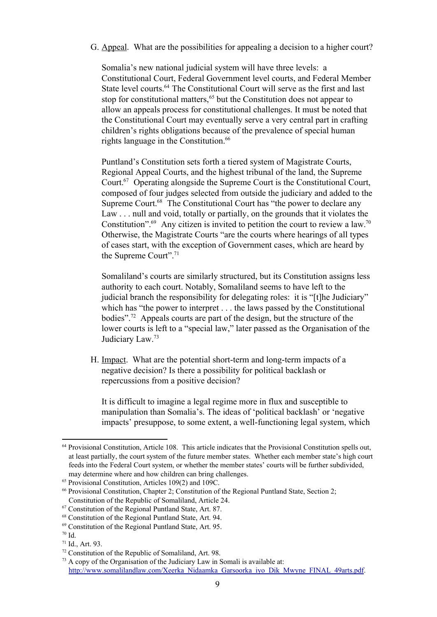G. Appeal. What are the possibilities for appealing a decision to a higher court?

Somalia's new national judicial system will have three levels: a Constitutional Court, Federal Government level courts, and Federal Member State level courts.<sup>64</sup> The Constitutional Court will serve as the first and last stop for constitutional matters,  $65$  but the Constitution does not appear to allow an appeals process for constitutional challenges. It must be noted that the Constitutional Court may eventually serve a very central part in crafting children's rights obligations because of the prevalence of special human rights language in the Constitution. 66

Puntland's Constitution sets forth a tiered system of Magistrate Courts, Regional Appeal Courts, and the highest tribunal of the land, the Supreme Court.<sup>67</sup> Operating alongside the Supreme Court is the Constitutional Court, composed of four judges selected from outside the judiciary and added to the Supreme Court.<sup>68</sup> The Constitutional Court has "the power to declare any Law . . . null and void, totally or partially, on the grounds that it violates the Constitution".<sup>69</sup> Any citizen is invited to petition the court to review a law.<sup>70</sup> Otherwise, the Magistrate Courts "are the courts where hearings of all types of cases start, with the exception of Government cases, which are heard by the Supreme Court". 71

Somaliland's courts are similarly structured, but its Constitution assigns less authority to each court. Notably, Somaliland seems to have left to the judicial branch the responsibility for delegating roles: it is "[t]he Judiciary" which has "the power to interpret . . . the laws passed by the Constitutional bodies".<sup>72</sup> Appeals courts are part of the design, but the structure of the lower courts is left to a "special law," later passed as the Organisation of the Judiciary Law.<sup>73</sup>

H. Impact. What are the potential short-term and long-term impacts of a negative decision? Is there a possibility for political backlash or repercussions from a positive decision?

It is difficult to imagine a legal regime more in flux and susceptible to manipulation than Somalia's. The ideas of 'political backlash' or 'negative impacts' presuppose, to some extent, a well-functioning legal system, which

<sup>&</sup>lt;sup>64</sup> Provisional Constitution, Article 108. This article indicates that the Provisional Constitution spells out, at least partially, the court system of the future member states. Whether each member state's high court feeds into the Federal Court system, or whether the member states' courts will be further subdivided, may determine where and how children can bring challenges.

<sup>65</sup> Provisional Constitution, Articles 109(2) and 109C.

<sup>66</sup> Provisional Constitution, Chapter 2; Constitution of the Regional Puntland State, Section 2; Constitution of the Republic of Somaliland, Article 24.

<sup>67</sup> Constitution of the Regional Puntland State, Art. 87.

<sup>68</sup> Constitution of the Regional Puntland State, Art. 94.

<sup>69</sup> Constitution of the Regional Puntland State, Art. 95.

 $70$  Id.

 $71$  Id., Art. 93.

<sup>72</sup> Constitution of the Republic of Somaliland, Art. 98.

 $73$  A copy of the Organisation of the Judiciary Law in Somali is available at: [http://www.somalilandlaw.com/Xeerka\\_Nidaamka\\_Garsoorka\\_iyo\\_Dik\\_Mwyne\\_FINAL\\_49arts.pdf.](http://www.somalilandlaw.com/Xeerka_Nidaamka_Garsoorka_iyo_Dik_Mwyne_FINAL_49arts.pdf)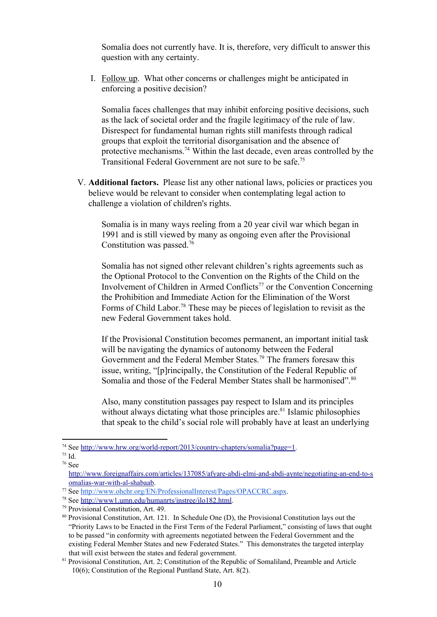Somalia does not currently have. It is, therefore, very difficult to answer this question with any certainty.

I. Follow up. What other concerns or challenges might be anticipated in enforcing a positive decision?

Somalia faces challenges that may inhibit enforcing positive decisions, such as the lack of societal order and the fragile legitimacy of the rule of law. Disrespect for fundamental human rights still manifests through radical groups that exploit the territorial disorganisation and the absence of protective mechanisms.<sup>74</sup> Within the last decade, even areas controlled by the Transitional Federal Government are not sure to be safe. 75

V. **Additional factors.**Please list any other national laws, policies or practices you believe would be relevant to consider when contemplating legal action to challenge a violation of children's rights.

Somalia is in many ways reeling from a 20 year civil war which began in 1991 and is still viewed by many as ongoing even after the Provisional Constitution was passed. 76

Somalia has not signed other relevant children's rights agreements such as the Optional Protocol to the Convention on the Rights of the Child on the Involvement of Children in Armed Conflicts<sup>77</sup> or the Convention Concerning the Prohibition and Immediate Action for the Elimination of the Worst Forms of Child Labor.<sup>78</sup> These may be pieces of legislation to revisit as the new Federal Government takes hold.

If the Provisional Constitution becomes permanent, an important initial task will be navigating the dynamics of autonomy between the Federal Government and the Federal Member States.<sup>79</sup> The framers foresaw this issue, writing, "[p]rincipally, the Constitution of the Federal Republic of Somalia and those of the Federal Member States shall be harmonised".<sup>80</sup>

Also, many constitution passages pay respect to Islam and its principles without always dictating what those principles are.<sup>81</sup> Islamic philosophies that speak to the child's social role will probably have at least an underlying

<sup>&</sup>lt;sup>74</sup> See http://www.hrw.org/world-report/2013/country-chapters/somalia?page=1.

<sup>75</sup> Id.

<sup>76</sup> See

http://www.foreignaffairs.com/articles/137085/afyare-abdi-elmi-and-abdi-aynte/negotiating-an-end-to-s omalias-war-with-al-shabaab.

<sup>77</sup> See [http://www.ohchr.org/EN/ProfessionalInterest/Pages/OPACCRC.aspx.](http://www.ohchr.org/EN/ProfessionalInterest/Pages/OPACCRC.aspx)

<sup>78</sup> See [http://www1.umn.edu/humanrts/instree/ilo182.html.](http://www1.umn.edu/humanrts/instree/ilo182.html)

<sup>79</sup> Provisional Constitution, Art. 49.

<sup>80</sup> Provisional Constitution, Art. 121. In Schedule One (D), the Provisional Constitution lays out the "Priority Laws to be Enacted in the First Term of the Federal Parliament," consisting of laws that ought to be passed "in conformity with agreements negotiated between the Federal Government and the existing Federal Member States and new Federated States." This demonstrates the targeted interplay that will exist between the states and federal government.

<sup>81</sup> Provisional Constitution, Art. 2; Constitution of the Republic of Somaliland, Preamble and Article 10(6); Constitution of the Regional Puntland State, Art. 8(2).